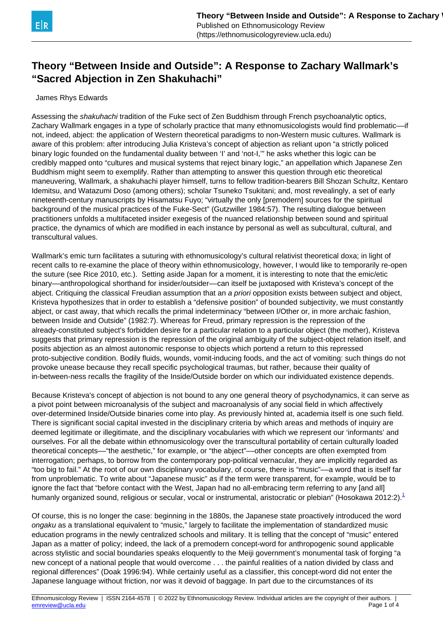## <span id="page-0-0"></span>**Theory "Between Inside and Outside": A Response to Zachary Wallmark's "Sacred Abjection in Zen Shakuhachi"**

James Rhys Edwards

Assessing the *shakuhachi* tradition of the Fuke sect of Zen Buddhism through French psychoanalytic optics, Zachary Wallmark engages in a type of scholarly practice that many ethnomusicologists would find problematic—if not, indeed, abject: the application of Western theoretical paradigms to non-Western music cultures. Wallmark is aware of this problem: after introducing Julia Kristeva's concept of abjection as reliant upon "a strictly policed binary logic founded on the fundamental duality between 'I' and 'not-I,'" he asks whether this logic can be credibly mapped onto "cultures and musical systems that reject binary logic," an appellation which Japanese Zen Buddhism might seem to exemplify. Rather than attempting to answer this question through etic theoretical maneuvering, Wallmark, a shakuhachi player himself, turns to fellow tradition-bearers Bill Shozan Schultz, Kentaro Idemitsu, and Watazumi Doso (among others); scholar Tsuneko Tsukitani; and, most revealingly, a set of early nineteenth-century manuscripts by Hisamatsu Fuyo; "virtually the only [premodern] sources for the spiritual background of the musical practices of the Fuke-Sect" (Gutzwiller 1984:57). The resulting dialogue between practitioners unfolds a multifaceted insider exegesis of the nuanced relationship between sound and spiritual practice, the dynamics of which are modified in each instance by personal as well as subcultural, cultural, and transcultural values.

Wallmark's emic turn facilitates a suturing with ethnomusicology's cultural relativist theoretical doxa; in light of recent calls to re-examine the place of theory within ethnomusicology, however, I would like to temporarily re-open the suture (see Rice 2010, etc.). Setting aside Japan for a moment, it is interesting to note that the emic/etic binary––anthropological shorthand for insider/outsider––can itself be juxtaposed with Kristeva's concept of the abject. Critiquing the classical Freudian assumption that an a priori opposition exists between subject and object, Kristeva hypothesizes that in order to establish a "defensive position" of bounded subjectivity, we must constantly abject, or cast away, that which recalls the primal indeterminacy "between I/Other or, in more archaic fashion, between Inside and Outside" (1982:7). Whereas for Freud, primary repression is the repression of the already-constituted subject's forbidden desire for a particular relation to a particular object (the mother), Kristeva suggests that primary repression is the repression of the original ambiguity of the subject-object relation itself, and posits abjection as an almost autonomic response to objects which portend a return to this repressed proto-subjective condition. Bodily fluids, wounds, vomit-inducing foods, and the act of vomiting: such things do not provoke unease because they recall specific psychological traumas, but rather, because their quality of in-between-ness recalls the fragility of the Inside/Outside border on which our individuated existence depends.

Because Kristeva's concept of abjection is not bound to any one general theory of psychodynamics, it can serve as a pivot point between microanalysis of the subject and macroanalysis of any social field in which affectively over-determined Inside/Outside binaries come into play. As previously hinted at, academia itself is one such field. There is significant social capital invested in the disciplinary criteria by which areas and methods of inquiry are deemed legitimate or illegitimate, and the disciplinary vocabularies with which we represent our 'informants' and ourselves. For all the debate within ethnomusicology over the transcultural portability of certain culturally loaded theoretical concepts––"the aesthetic," for example, or "the abject"––other concepts are often exempted from interrogation; perhaps, to borrow from the contemporary pop-political vernacular, they are implicitly regarded as "too big to fail." At the root of our own disciplinary vocabulary, of course, there is "music"––a word that is itself far from unproblematic. To write about "Japanese music" as if the term were transparent, for example, would be to ignore the fact that "before contact with the West, Japan had no all-embracing term referring to any [and all] humanly organized sound, religious or secular, vocal or instrumental, aristocratic or plebian" (Hosokawa 20[1](#page-0-0)2:2).<sup>1</sup>

Of course, this is no longer the case: beginning in the 1880s, the Japanese state proactively introduced the word ongaku as a translational equivalent to "music," largely to facilitate the implementation of standardized music education programs in the newly centralized schools and military. It is telling that the concept of "music" entered Japan as a matter of policy; indeed, the lack of a premodern concept-word for anthropogenic sound applicable across stylistic and social boundaries speaks eloquently to the Meiji government's monumental task of forging "a new concept of a national people that would overcome . . . the painful realities of a nation divided by class and regional differences" (Doak 1996:94). While certainly useful as a classifier, this concept-word did not enter the Japanese language without friction, nor was it devoid of baggage. In part due to the circumstances of its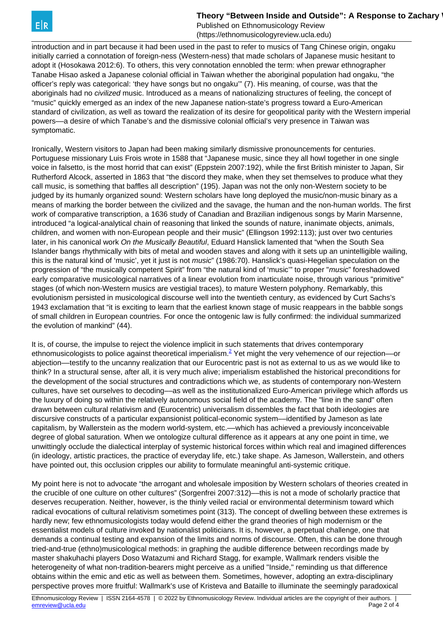Published on Ethnomusicology Review (https://ethnomusicologyreview.ucla.edu)

<span id="page-1-0"></span>introduction and in part because it had been used in the past to refer to musics of Tang Chinese origin, ongaku initially carried a connotation of foreign-ness (Western-ness) that made scholars of Japanese music hesitant to adopt it (Hosokawa 2012:6). To others, this very connotation ennobled the term: when prewar ethnographer Tanabe Hisao asked a Japanese colonial official in Taiwan whether the aboriginal population had ongaku, "the officer's reply was categorical: 'they have songs but no ongaku'" (7). His meaning, of course, was that the aboriginals had no civilized music. Introduced as a means of nationalizing structures of feeling, the concept of "music" quickly emerged as an index of the new Japanese nation-state's progress toward a Euro-American standard of civilization, as well as toward the realization of its desire for geopolitical parity with the Western imperial powers––a desire of which Tanabe's and the dismissive colonial official's very presence in Taiwan was symptomatic.

Ironically, Western visitors to Japan had been making similarly dismissive pronouncements for centuries. Portuguese missionary Luis Frois wrote in 1588 that "Japanese music, since they all howl together in one single voice in falsetto, is the most horrid that can exist" (Eppstein 2007:192), while the first British minister to Japan, Sir Rutherford Alcock, asserted in 1863 that "the discord they make, when they set themselves to produce what they call music, is something that baffles all description" (195). Japan was not the only non-Western society to be judged by its humanly organized sound: Western scholars have long deployed the music/non-music binary as a means of marking the border between the civilized and the savage, the human and the non-human worlds. The first work of comparative transcription, a 1636 study of Canadian and Brazilian indigenous songs by Marin Marsenne, introduced "a logical-analytical chain of reasoning that linked the sounds of nature, inanimate objects, animals, children, and women with non-European people and their music" (Ellingson 1992:113); just over two centuries later, in his canonical work On the Musically Beautiful, Eduard Hanslick lamented that "when the South Sea Islander bangs rhythmically with bits of metal and wooden staves and along with it sets up an unintelligible wailing, this is the natural kind of 'music', yet it just is not *music*" (1986:70). Hanslick's quasi-Hegelian speculation on the progression of "the musically competent Spirit" from "the natural kind of 'music'" to proper "music" foreshadowed early comparative musicological narratives of a linear evolution from inarticulate noise, through various "primitive" stages (of which non-Western musics are vestigial traces), to mature Western polyphony. Remarkably, this evolutionism persisted in musicological discourse well into the twentieth century, as evidenced by Curt Sachs's 1943 exclamation that "it is exciting to learn that the earliest known stage of music reappears in the babble songs of small children in European countries. For once the ontogenic law is fully confirmed: the individual summarized the evolution of mankind" (44).

It is, of course, the impulse to reject the violence implicit in such statements that drives contemporary ethnomusicologists to police against theoretical imperialism.<sup>[2](#page-1-0)</sup> Yet might the very vehemence of our rejection—or abjection––testify to the uncanny realization that our Eurocentric past is not as external to us as we would like to think? In a structural sense, after all, it is very much alive; imperialism established the historical preconditions for the development of the social structures and contradictions which we, as students of contemporary non-Western cultures, have set ourselves to decoding––as well as the institutionalized Euro-American privilege which affords us the luxury of doing so within the relatively autonomous social field of the academy. The "line in the sand" often drawn between cultural relativism and (Eurocentric) universalism dissembles the fact that both ideologies are discursive constructs of a particular expansionist political-economic system––identified by Jameson as late capitalism, by Wallerstein as the modern world-system, etc.––which has achieved a previously inconceivable degree of global saturation. When we ontologize cultural difference as it appears at any one point in time, we unwittingly occlude the dialectical interplay of systemic historical forces within which real and imagined differences (in ideology, artistic practices, the practice of everyday life, etc.) take shape. As Jameson, Wallerstein, and others have pointed out, this occlusion cripples our ability to formulate meaningful anti-systemic critique.

My point here is not to advocate "the arrogant and wholesale imposition by Western scholars of theories created in the crucible of one culture on other cultures" (Sorgenfrei 2007:312)––this is not a mode of scholarly practice that deserves recuperation. Neither, however, is the thinly veiled racial or environmental determinism toward which radical evocations of cultural relativism sometimes point (313). The concept of dwelling between these extremes is hardly new; few ethnomusicologists today would defend either the grand theories of high modernism or the essentialist models of culture invoked by nationalist politicians. It is, however, a perpetual challenge, one that demands a continual testing and expansion of the limits and norms of discourse. Often, this can be done through tried-and-true (ethno)musicological methods: in graphing the audible difference between recordings made by master shakuhachi players Doso Watazumi and Richard Stagg, for example, Wallmark renders visible the heterogeneity of what non-tradition-bearers might perceive as a unified "Inside," reminding us that difference obtains within the emic and etic as well as between them. Sometimes, however, adopting an extra-disciplinary perspective proves more fruitful: Wallmark's use of Kristeva and Bataille to illuminate the seemingly paradoxical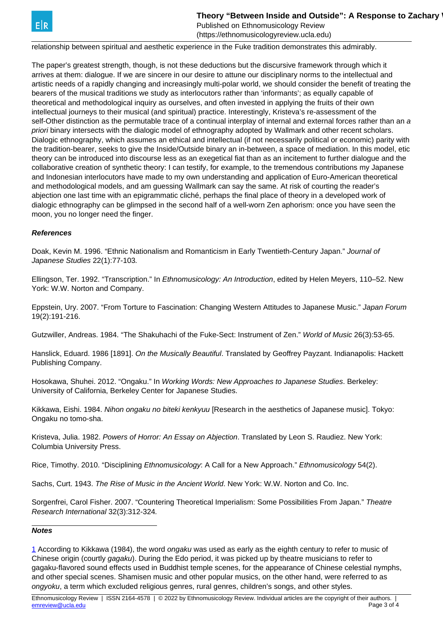<span id="page-2-0"></span>

Published on Ethnomusicology Review (https://ethnomusicologyreview.ucla.edu)

relationship between spiritual and aesthetic experience in the Fuke tradition demonstrates this admirably.

The paper's greatest strength, though, is not these deductions but the discursive framework through which it arrives at them: dialogue. If we are sincere in our desire to attune our disciplinary norms to the intellectual and artistic needs of a rapidly changing and increasingly multi-polar world, we should consider the benefit of treating the bearers of the musical traditions we study as interlocutors rather than 'informants'; as equally capable of theoretical and methodological inquiry as ourselves, and often invested in applying the fruits of their own intellectual journeys to their musical (and spiritual) practice. Interestingly, Kristeva's re-assessment of the self-Other distinction as the permutable trace of a continual interplay of internal and external forces rather than an a priori binary intersects with the dialogic model of ethnography adopted by Wallmark and other recent scholars. Dialogic ethnography, which assumes an ethical and intellectual (if not necessarily political or economic) parity with the tradition-bearer, seeks to give the Inside/Outside binary an in-between, a space of mediation. In this model, etic theory can be introduced into discourse less as an exegetical fiat than as an incitement to further dialogue and the collaborative creation of synthetic theory: I can testify, for example, to the tremendous contributions my Japanese and Indonesian interlocutors have made to my own understanding and application of Euro-American theoretical and methodological models, and am guessing Wallmark can say the same. At risk of courting the reader's abjection one last time with an epigrammatic cliché, perhaps the final place of theory in a developed work of dialogic ethnography can be glimpsed in the second half of a well-worn Zen aphorism: once you have seen the moon, you no longer need the finger.

## **References**

Doak, Kevin M. 1996. "Ethnic Nationalism and Romanticism in Early Twentieth-Century Japan." Journal of Japanese Studies 22(1):77-103.

Ellingson, Ter. 1992. "Transcription." In Ethnomusicology: An Introduction, edited by Helen Meyers, 110–52. New York: W.W. Norton and Company.

Eppstein, Ury. 2007. "From Torture to Fascination: Changing Western Attitudes to Japanese Music." Japan Forum 19(2):191-216.

Gutzwiller, Andreas. 1984. "The Shakuhachi of the Fuke-Sect: Instrument of Zen." World of Music 26(3):53-65.

Hanslick, Eduard. 1986 [1891]. On the Musically Beautiful. Translated by Geoffrey Payzant. Indianapolis: Hackett Publishing Company.

Hosokawa, Shuhei. 2012. "Ongaku." In Working Words: New Approaches to Japanese Studies. Berkeley: University of California, Berkeley Center for Japanese Studies.

Kikkawa, Eishi. 1984. Nihon ongaku no biteki kenkyuu [Research in the aesthetics of Japanese music]. Tokyo: Ongaku no tomo-sha.

Kristeva, Julia. 1982. Powers of Horror: An Essay on Abjection. Translated by Leon S. Raudiez. New York: Columbia University Press.

Rice, Timothy. 2010. "Disciplining Ethnomusicology: A Call for a New Approach." Ethnomusicology 54(2).

Sachs, Curt. 1943. The Rise of Music in the Ancient World. New York: W.W. Norton and Co. Inc.

Sorgenfrei, Carol Fisher. 2007. "Countering Theoretical Imperialism: Some Possibilities From Japan." Theatre Research International 32(3):312-324.

## **Notes**

[1](#page-2-0) According to Kikkawa (1984), the word ongaku was used as early as the eighth century to refer to music of Chinese origin (courtly gagaku). During the Edo period, it was picked up by theatre musicians to refer to gagaku-flavored sound effects used in Buddhist temple scenes, for the appearance of Chinese celestial nymphs, and other special scenes. Shamisen music and other popular musics, on the other hand, were referred to as ongyoku, a term which excluded religious genres, rural genres, children's songs, and other styles.